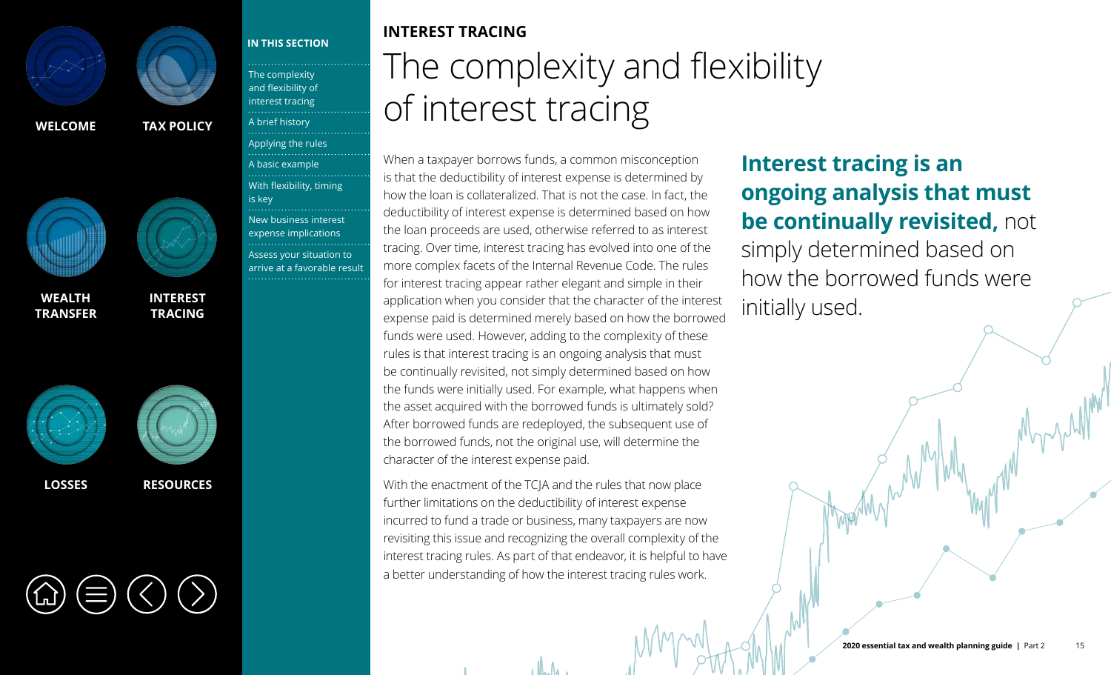<span id="page-0-0"></span>



**WEALTH [TRANSFER](#page--1-0)**



**INTEREST TRACING**

**[LOSSES](#page--1-0) [RESOURCES](#page--1-0)**



### **IN THIS SECTION**

The complexity and flexibility of interest tracing [A brief history](#page-1-0) [Applying the rules](#page-2-0)<br>……………………………… [A basic example](#page-3-0) [With flexibility, timing](#page-4-0)  is key [New business interest](#page-6-0)  expense implications Assess your situation to [arrive at a favorable result](#page-8-0)

## **INTEREST TRACING** The complexity and flexibility of interest tracing

When a taxpayer borrows funds, a common misconception is that the deductibility of interest expense is determined by how the loan is collateralized. That is not the case. In fact, the deductibility of interest expense is determined based on how the loan proceeds are used, otherwise referred to as interest tracing. Over time, interest tracing has evolved into one of the more complex facets of the Internal Revenue Code. The rules for interest tracing appear rather elegant and simple in their application when you consider that the character of the interest expense paid is determined merely based on how the borrowed funds were used. However, adding to the complexity of these rules is that interest tracing is an ongoing analysis that must be continually revisited, not simply determined based on how the funds were initially used. For example, what happens when the asset acquired with the borrowed funds is ultimately sold? After borrowed funds are redeployed, the subsequent use of the borrowed funds, not the original use, will determine the character of the interest expense paid.

With the enactment of the TCJA and the rules that now place further limitations on the deductibility of interest expense incurred to fund a trade or business, many taxpayers are now revisiting this issue and recognizing the overall complexity of the interest tracing rules. As part of that endeavor, it is helpful to have a better understanding of how the interest tracing rules work.

## **Interest tracing is an ongoing analysis that must be continually revisited,** not simply determined based on how the borrowed funds were initially used.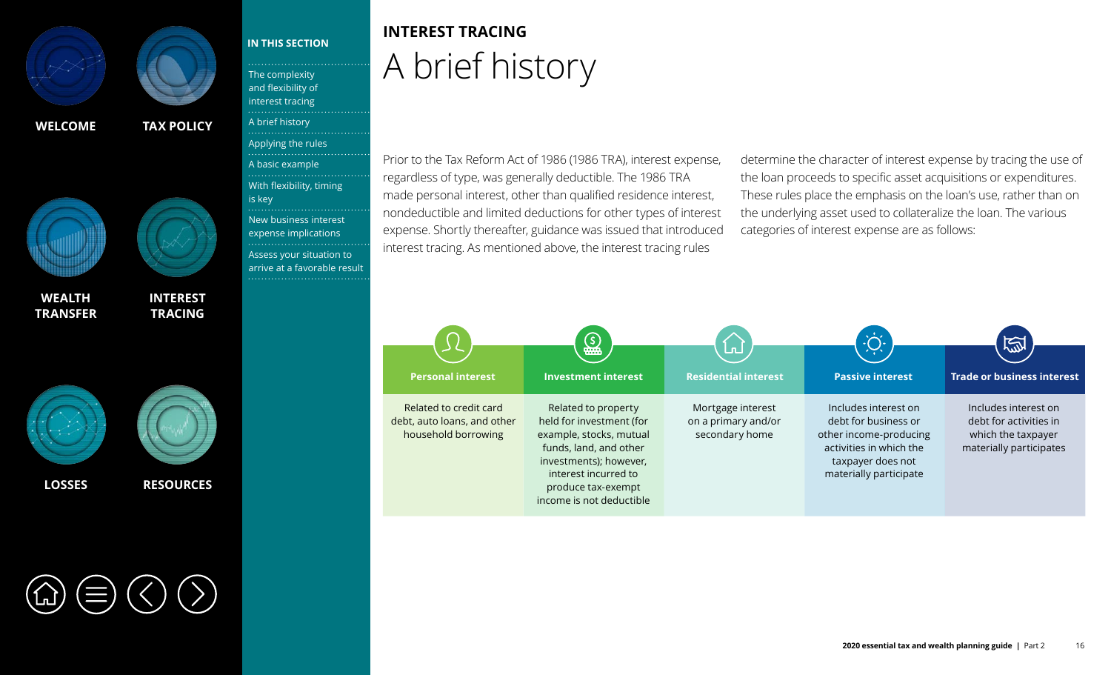<span id="page-1-0"></span>



**WEALTH [TRANSFER](#page--1-0)**





**[INTEREST](#page-0-0)  TRACING**

The complexity [and flexibility of](#page-0-0)  interest tracing A brief history

**IN THIS SECTION**

[Applying the rules](#page-2-0) [A basic example](#page-3-0)

[With flexibility, timing](#page-4-0) 

[New business interest](#page-6-0)  expense implications Assess your situation to [arrive at a favorable result](#page-8-0)

is key



## **INTEREST TRACING** A brief history

Prior to the Tax Reform Act of 1986 (1986 TRA), interest expense, regardless of type, was generally deductible. The 1986 TRA made personal interest, other than qualified residence interest, nondeductible and limited deductions for other types of interest expense. Shortly thereafter, guidance was issued that introduced interest tracing. As mentioned above, the interest tracing rules

determine the character of interest expense by tracing the use of the loan proceeds to specific asset acquisitions or expenditures. These rules place the emphasis on the loan's use, rather than on the underlying asset used to collateralize the loan. The various categories of interest expense are as follows:

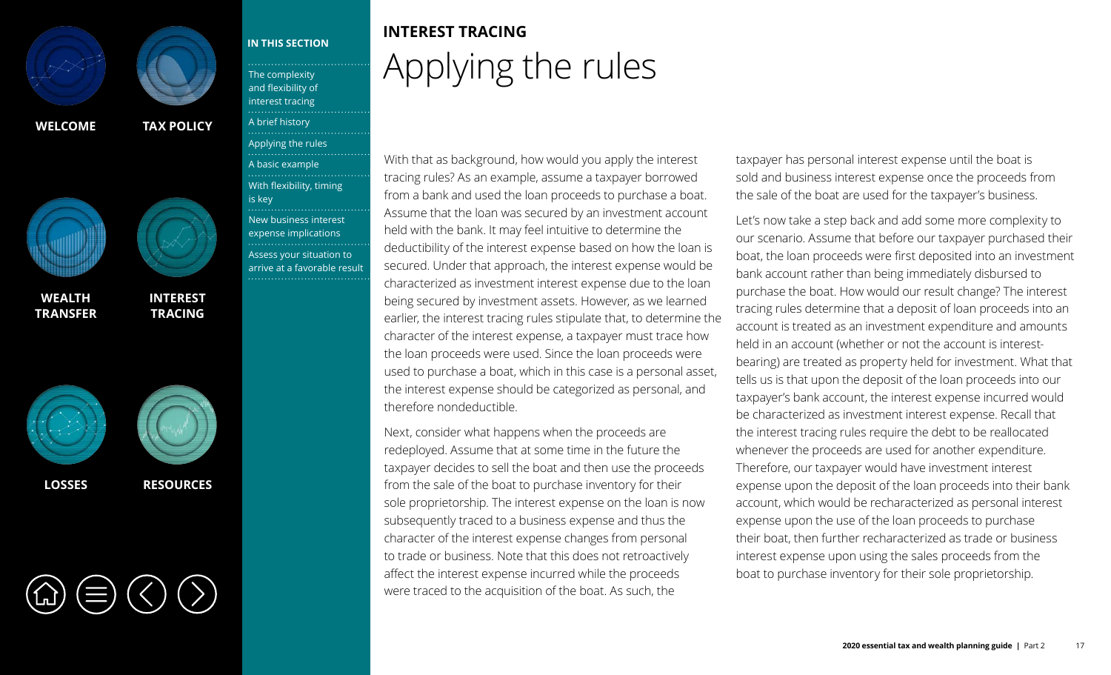<span id="page-2-0"></span>



**WEALTH [TRANSFER](#page--1-0)**





**[INTEREST](#page-0-0)  TRACING** The complexity [and flexibility of](#page-0-0)  interest tracing [A brief history](#page-1-0)

**IN THIS SECTION**

[A basic example](#page-3-0)

is key

[With flexibility, timing](#page-4-0) 

[New business interest](#page-6-0)  expense implications Assess your situation to [arrive at a favorable result](#page-8-0)

Applying the rules<br>……………………………

### **[LOSSES](#page--1-0) [RESOURCES](#page--1-0)**

## **INTEREST TRACING** Applying the rules

With that as background, how would you apply the interest tracing rules? As an example, assume a taxpayer borrowed from a bank and used the loan proceeds to purchase a boat. Assume that the loan was secured by an investment account held with the bank. It may feel intuitive to determine the deductibility of the interest expense based on how the loan is secured. Under that approach, the interest expense would be characterized as investment interest expense due to the loan being secured by investment assets. However, as we learned earlier, the interest tracing rules stipulate that, to determine the character of the interest expense, a taxpayer must trace how the loan proceeds were used. Since the loan proceeds were used to purchase a boat, which in this case is a personal asset, the interest expense should be categorized as personal, and therefore nondeductible.

Next, consider what happens when the proceeds are redeployed. Assume that at some time in the future the taxpayer decides to sell the boat and then use the proceeds from the sale of the boat to purchase inventory for their sole proprietorship. The interest expense on the loan is now subsequently traced to a business expense and thus the character of the interest expense changes from personal to trade or business. Note that this does not retroactively affect the interest expense incurred while the proceeds were traced to the acquisition of the boat. As such, the

taxpayer has personal interest expense until the boat is sold and business interest expense once the proceeds from the sale of the boat are used for the taxpayer's business.

Let's now take a step back and add some more complexity to our scenario. Assume that before our taxpayer purchased their boat, the loan proceeds were first deposited into an investment bank account rather than being immediately disbursed to purchase the boat. How would our result change? The interest tracing rules determine that a deposit of loan proceeds into an account is treated as an investment expenditure and amounts held in an account (whether or not the account is interestbearing) are treated as property held for investment. What that tells us is that upon the deposit of the loan proceeds into our taxpayer's bank account, the interest expense incurred would be characterized as investment interest expense. Recall that the interest tracing rules require the debt to be reallocated whenever the proceeds are used for another expenditure. Therefore, our taxpayer would have investment interest expense upon the deposit of the loan proceeds into their bank account, which would be recharacterized as personal interest expense upon the use of the loan proceeds to purchase their boat, then further recharacterized as trade or business interest expense upon using the sales proceeds from the boat to purchase inventory for their sole proprietorship.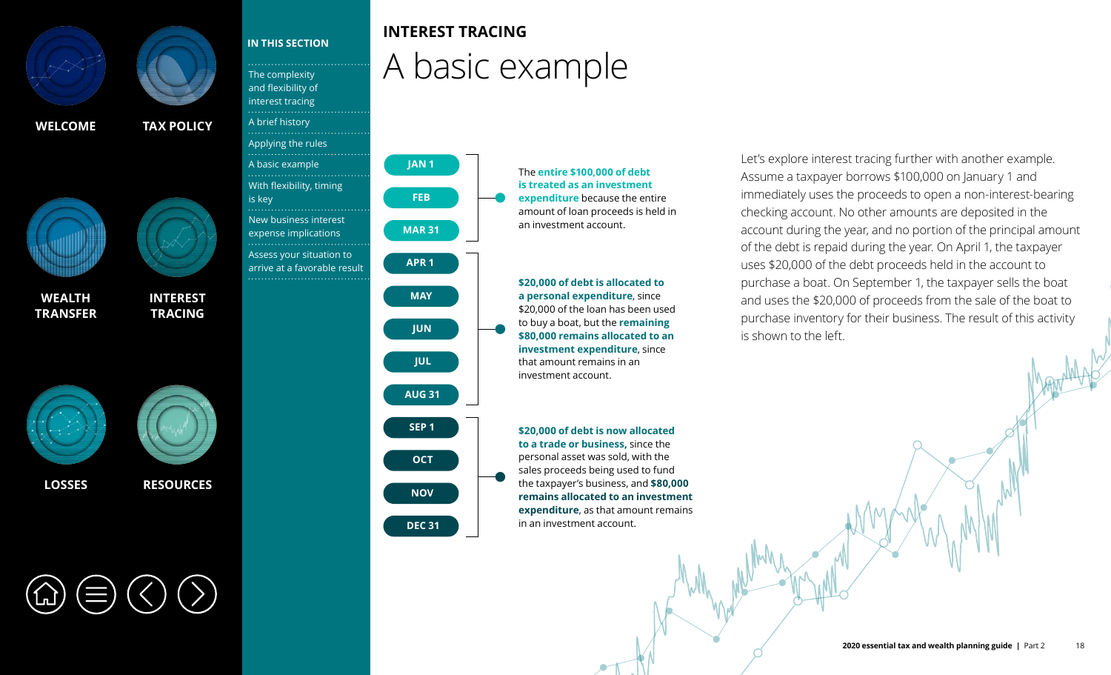<span id="page-3-0"></span>







**WEALTH [TRANSFER](#page--1-0)**



**[INTEREST](#page-0-0)  TRACING**



**[LOSSES](#page--1-0) [RESOURCES](#page--1-0)**



### **IN THIS SECTION**

The complexity [and flexibility of](#page-0-0)  interest tracing [A brief history](#page-1-0) [Applying the rules](#page-2-0) A basic example [With flexibility, timing](#page-4-0)  is key [New business interest](#page-6-0)  expense implications Assess your situation to

[arrive at a favorable result](#page-8-0)



**JAN 1**

**FEB**

**APR 1** 

**MAR 31**

**INTEREST TRACING**

A basic example

**SEP 1 OCT NOV DEC 31** The **entire \$100,000 of debt is treated as an investment expenditure** because the entire amount of loan proceeds is held in an investment account.

**\$20,000 of debt is allocated to a personal expenditure**, since \$20,000 of the loan has been used to buy a boat, but the **remaining \$80,000 remains allocated to an investment expenditure**, since that amount remains in an investment account.

**\$20,000 of debt is now allocated to a trade or business,** since the personal asset was sold, with the sales proceeds being used to fund the taxpayer's business, and **\$80,000 remains allocated to an investment expenditure**, as that amount remains in an investment account.

Let's explore interest tracing further with another example. Assume a taxpayer borrows \$100,000 on January 1 and immediately uses the proceeds to open a non-interest-bearing checking account. No other amounts are deposited in the account during the year, and no portion of the principal amount of the debt is repaid during the year. On April 1, the taxpayer uses \$20,000 of the debt proceeds held in the account to purchase a boat. On September 1, the taxpayer sells the boat and uses the \$20,000 of proceeds from the sale of the boat to purchase inventory for their business. The result of this activity is shown to the left.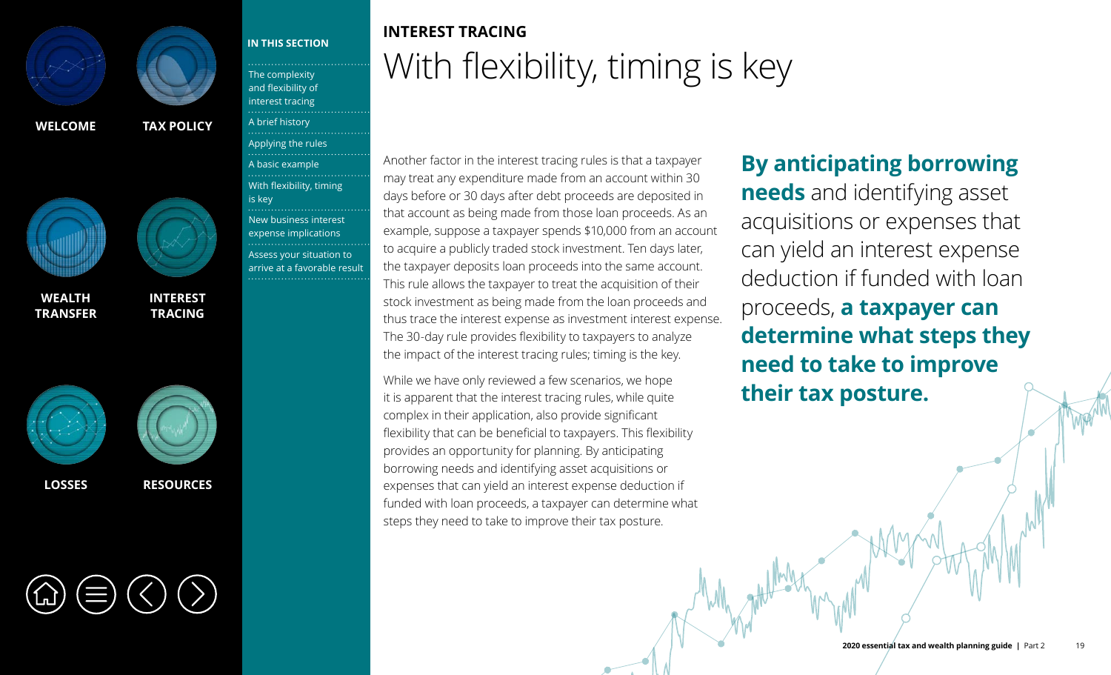<span id="page-4-0"></span>



**WEALTH [TRANSFER](#page--1-0)**





**TRACING**



The complexity [and flexibility of](#page-0-0)  interest tracing [A brief history](#page-1-0) [Applying the rules](#page-2-0) [A basic example](#page-3-0) With flexibility, timing is key [New business interest](#page-6-0)  expense implications Assess your situation to [arrive at a favorable result](#page-8-0)

**IN THIS SECTION**

**[INTEREST](#page-0-0)** 

**[LOSSES](#page--1-0) [RESOURCES](#page--1-0)**

## **INTEREST TRACING** With flexibility, timing is key

Another factor in the interest tracing rules is that a taxpayer may treat any expenditure made from an account within 30 days before or 30 days after debt proceeds are deposited in that account as being made from those loan proceeds. As an example, suppose a taxpayer spends \$10,000 from an account to acquire a publicly traded stock investment. Ten days later, the taxpayer deposits loan proceeds into the same account. This rule allows the taxpayer to treat the acquisition of their stock investment as being made from the loan proceeds and thus trace the interest expense as investment interest expense. The 30-day rule provides flexibility to taxpayers to analyze the impact of the interest tracing rules; timing is the key.

While we have only reviewed a few scenarios, we hope it is apparent that the interest tracing rules, while quite complex in their application, also provide significant flexibility that can be beneficial to taxpayers. This flexibility provides an opportunity for planning. By anticipating borrowing needs and identifying asset acquisitions or expenses that can yield an interest expense deduction if funded with loan proceeds, a taxpayer can determine what steps they need to take to improve their tax posture.

# **By anticipating borrowing**

**needs** and identifying asset acquisitions or expenses that can yield an interest expense deduction if funded with loan proceeds, **a taxpayer can determine what steps they need to take to improve their tax posture.**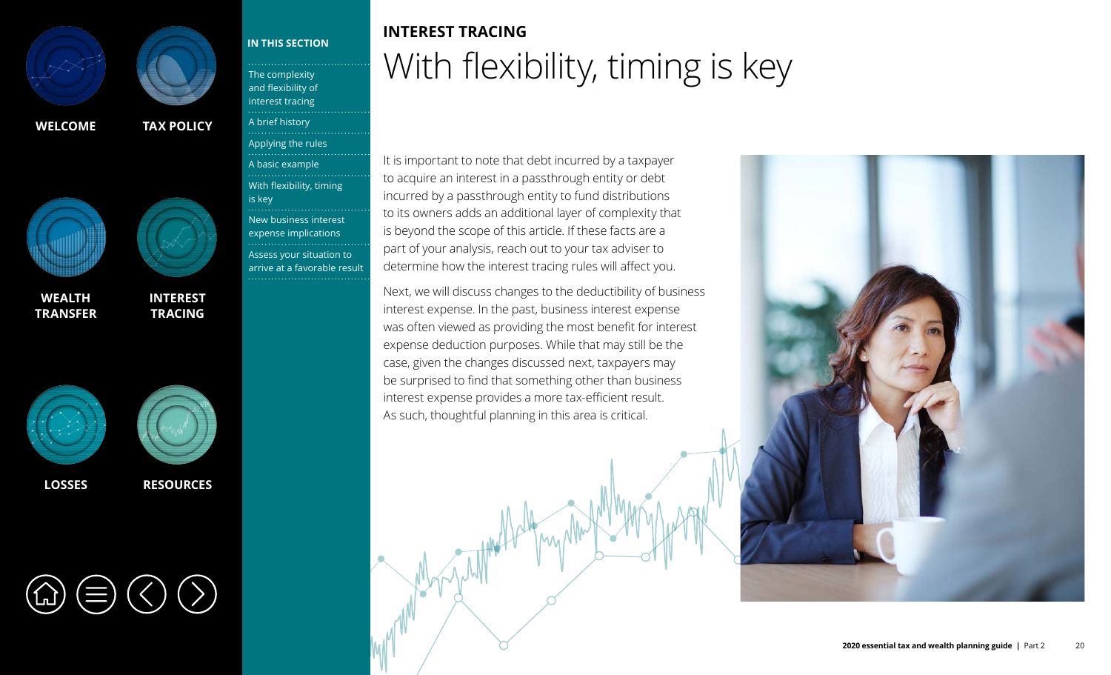



**WEALTH [TRANSFER](#page--1-0)**





### **[LOSSES](#page--1-0) [RESOURCES](#page--1-0)**

**[INTEREST](#page-0-0)  TRACING**

The complexity [and flexibility of](#page-0-0)  interest tracing [A brief history](#page-1-0)

**IN THIS SECTION**

[A basic example](#page-3-0)

. . . . . . . . . . . . . . . .

. . . . . . . . . . . . . . . . .

is key

[Applying the rules](#page-2-0)<br>…………<u>…………………</u>…

[With flexibility, timing](#page-4-0) 

[New business interest](#page-6-0)  expense implications Assess your situation to [arrive at a favorable result](#page-8-0)

## **INTEREST TRACING** With flexibility, timing is key

It is important to note that debt incurred by a taxpayer to acquire an interest in a passthrough entity or debt incurred by a passthrough entity to fund distributions to its owners adds an additional layer of complexity that is beyond the scope of this article. If these facts are a part of your analysis, reach out to your tax adviser to determine how the interest tracing rules will affect you.

Next, we will discuss changes to the deductibility of business interest expense. In the past, business interest expense was often viewed as providing the most benefit for interest expense deduction purposes. While that may still be the case, given the changes discussed next, taxpayers may be surprised to find that something other than business interest expense provides a more tax-efficient result. As such, thoughtful planning in this area is critical.

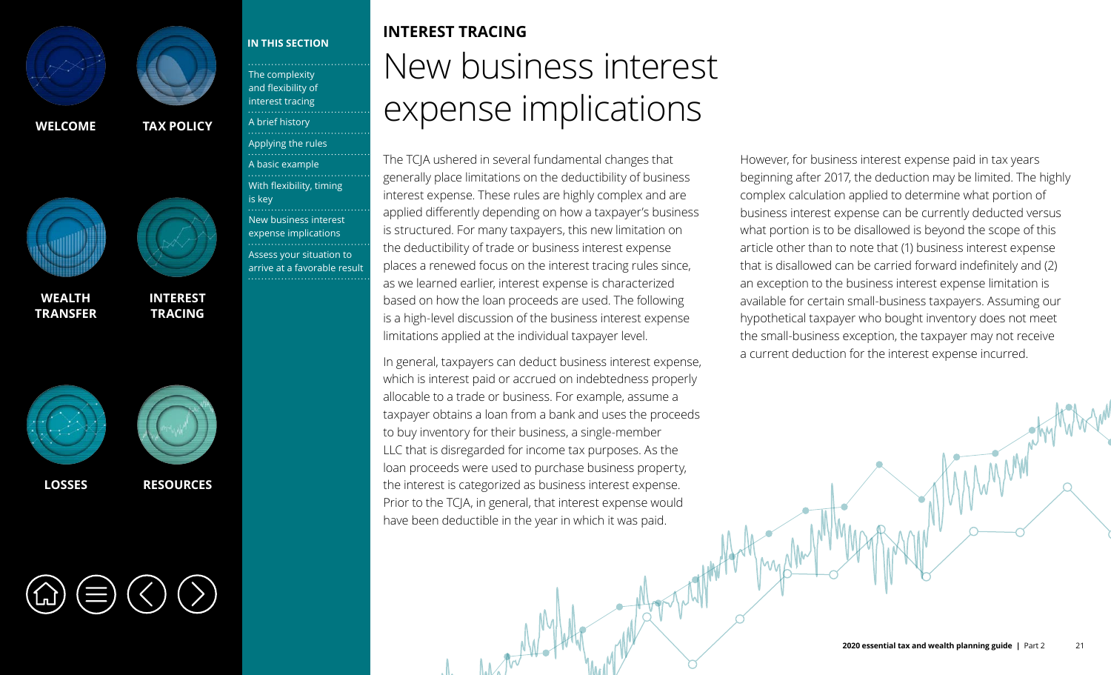<span id="page-6-0"></span>



**WEALTH [TRANSFER](#page--1-0)**





### **IN THIS SECTION**

The complexity [and flexibility of](#page-0-0)  interest tracing [A brief history](#page-1-0) [Applying the rules](#page-2-0) [A basic example](#page-3-0) [With flexibility, timing](#page-4-0)  is key New business interest expense implications Assess your situation to [arrive at a favorable result](#page-8-0)

**[INTEREST](#page-0-0)  TRACING**



**INTEREST TRACING** New business interest expense implications

The TCJA ushered in several fundamental changes that generally place limitations on the deductibility of business interest expense. These rules are highly complex and are applied differently depending on how a taxpayer's business is structured. For many taxpayers, this new limitation on the deductibility of trade or business interest expense places a renewed focus on the interest tracing rules since, as we learned earlier, interest expense is characterized based on how the loan proceeds are used. The following is a high-level discussion of the business interest expense limitations applied at the individual taxpayer level.

In general, taxpayers can deduct business interest expense, which is interest paid or accrued on indebtedness properly allocable to a trade or business. For example, assume a taxpayer obtains a loan from a bank and uses the proceeds to buy inventory for their business, a single-member LLC that is disregarded for income tax purposes. As the loan proceeds were used to purchase business property, the interest is categorized as business interest expense. Prior to the TCJA, in general, that interest expense would have been deductible in the year in which it was paid.

However, for business interest expense paid in tax years beginning after 2017, the deduction may be limited. The highly complex calculation applied to determine what portion of business interest expense can be currently deducted versus what portion is to be disallowed is beyond the scope of this article other than to note that (1) business interest expense that is disallowed can be carried forward indefinitely and (2) an exception to the business interest expense limitation is available for certain small-business taxpayers. Assuming our hypothetical taxpayer who bought inventory does not meet the small-business exception, the taxpayer may not receive a current deduction for the interest expense incurred.

**2020 essential tax and wealth planning guide** | Part 2 21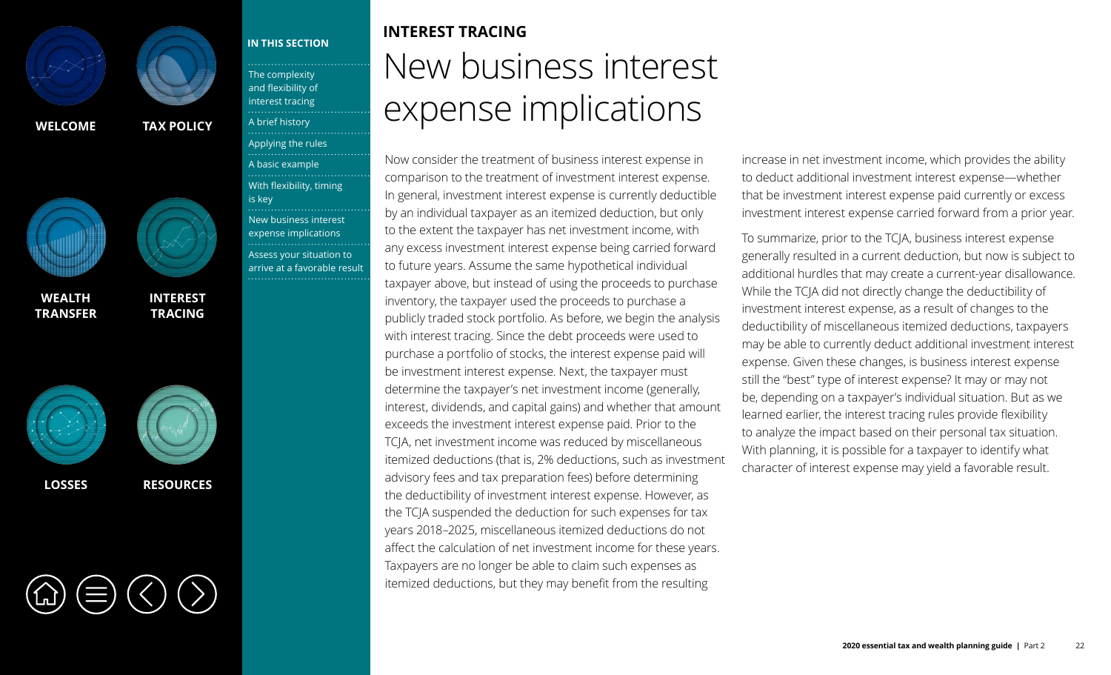



**WEALTH [TRANSFER](#page--1-0)**





### **[LOSSES](#page--1-0) [RESOURCES](#page--1-0)**

**[INTEREST](#page-0-0)  TRACING** The complexity [and flexibility of](#page-0-0)  interest tracing [A brief history](#page-1-0)

**IN THIS SECTION**

[A basic example](#page-3-0)

is key

[With flexibility, timing](#page-4-0) 

[New business interest](#page-6-0)  expense implications Assess your situation to [arrive at a favorable result](#page-8-0)

[Applying the rules](#page-2-0)<br>…………<u>…………………</u>…

## **INTEREST TRACING** New business interest expense implications

Now consider the treatment of business interest expense in comparison to the treatment of investment interest expense. In general, investment interest expense is currently deductible by an individual taxpayer as an itemized deduction, but only to the extent the taxpayer has net investment income, with any excess investment interest expense being carried forward to future years. Assume the same hypothetical individual taxpayer above, but instead of using the proceeds to purchase inventory, the taxpayer used the proceeds to purchase a publicly traded stock portfolio. As before, we begin the analysis with interest tracing. Since the debt proceeds were used to purchase a portfolio of stocks, the interest expense paid will be investment interest expense. Next, the taxpayer must determine the taxpayer's net investment income (generally, interest, dividends, and capital gains) and whether that amount exceeds the investment interest expense paid. Prior to the TCJA, net investment income was reduced by miscellaneous itemized deductions (that is, 2% deductions, such as investment advisory fees and tax preparation fees) before determining the deductibility of investment interest expense. However, as the TCJA suspended the deduction for such expenses for tax years 2018–2025, miscellaneous itemized deductions do not affect the calculation of net investment income for these years. Taxpayers are no longer be able to claim such expenses as itemized deductions, but they may benefit from the resulting

increase in net investment income, which provides the ability to deduct additional investment interest expense—whether that be investment interest expense paid currently or excess investment interest expense carried forward from a prior year.

To summarize, prior to the TCJA, business interest expense generally resulted in a current deduction, but now is subject to additional hurdles that may create a current-year disallowance. While the TCJA did not directly change the deductibility of investment interest expense, as a result of changes to the deductibility of miscellaneous itemized deductions, taxpayers may be able to currently deduct additional investment interest expense. Given these changes, is business interest expense still the "best" type of interest expense? It may or may not be, depending on a taxpayer's individual situation. But as we learned earlier, the interest tracing rules provide flexibility to analyze the impact based on their personal tax situation. With planning, it is possible for a taxpayer to identify what character of interest expense may yield a favorable result.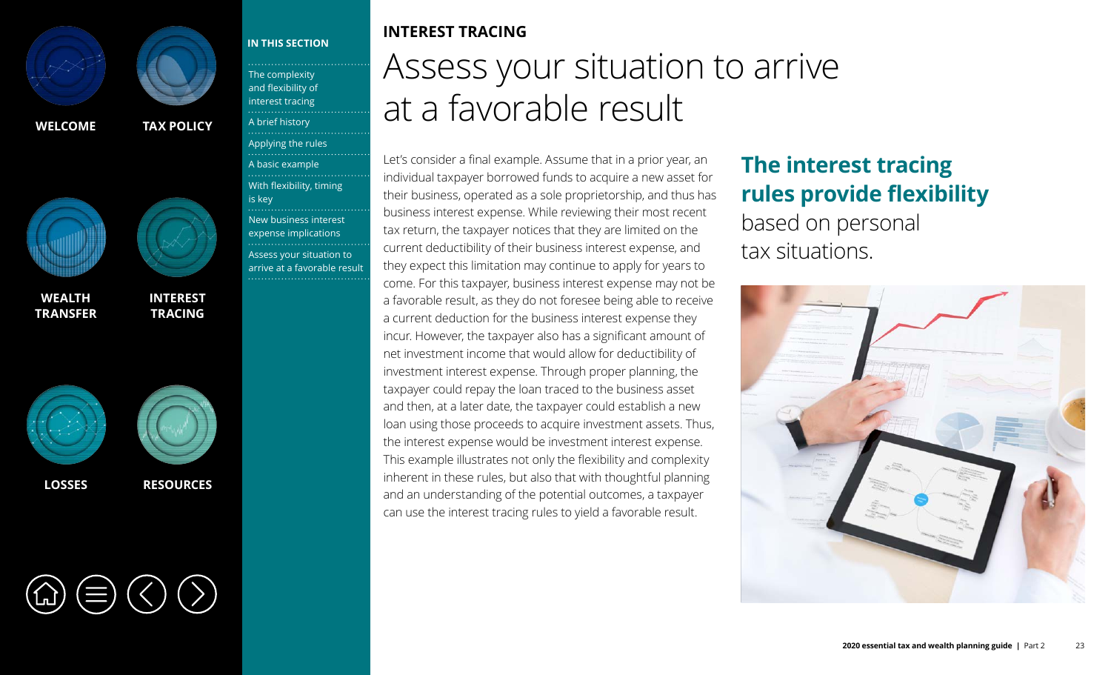<span id="page-8-0"></span>



**WEALTH [TRANSFER](#page--1-0)**





**[LOSSES](#page--1-0) [RESOURCES](#page--1-0)**

[With flexibility, timing](#page-4-0) 

**[INTEREST](#page-0-0)  TRACING**



The complexity [and flexibility of](#page-0-0)  interest tracing [A brief history](#page-1-0)

**IN THIS SECTION**

[A basic example](#page-3-0)

is key

[Applying the rules](#page-2-0)<br>………………………………

[New business interest](#page-6-0)  expense implications Assess your situation to arrive at a favorable result

### **INTEREST TRACING**

Assess your situation to arrive at a favorable result

Let's consider a final example. Assume that in a prior year, an individual taxpayer borrowed funds to acquire a new asset for their business, operated as a sole proprietorship, and thus has business interest expense. While reviewing their most recent tax return, the taxpayer notices that they are limited on the current deductibility of their business interest expense, and they expect this limitation may continue to apply for years to come. For this taxpayer, business interest expense may not be a favorable result, as they do not foresee being able to receive a current deduction for the business interest expense they incur. However, the taxpayer also has a significant amount of net investment income that would allow for deductibility of investment interest expense. Through proper planning, the taxpayer could repay the loan traced to the business asset and then, at a later date, the taxpayer could establish a new loan using those proceeds to acquire investment assets. Thus, the interest expense would be investment interest expense. This example illustrates not only the flexibility and complexity inherent in these rules, but also that with thoughtful planning and an understanding of the potential outcomes, a taxpayer can use the interest tracing rules to yield a favorable result.

### **The interest tracing rules provide flexibility** based on personal

tax situations.

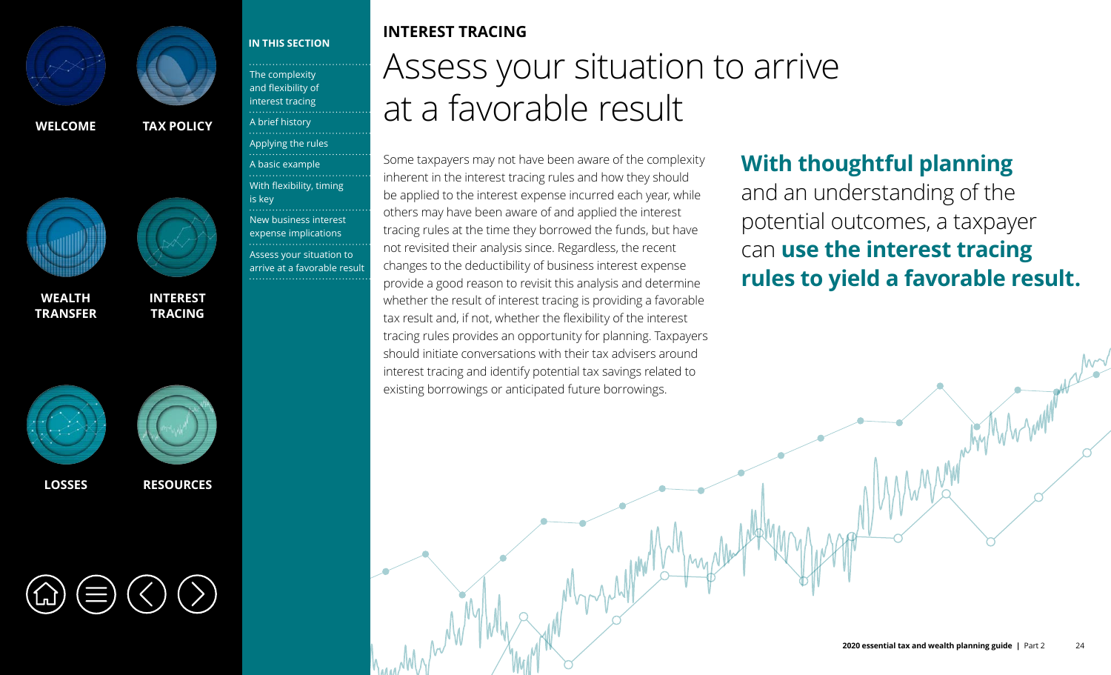

**IN THIS SECTION**

The complexity [and flexibility of](#page-0-0)  interest tracing [A brief history](#page-1-0)

[Applying the rules](#page-2-0) [A basic example](#page-3-0)

[With flexibility, timing](#page-4-0) 

[New business interest](#page-6-0)  expense implications Assess your situation to [arrive at a favorable result](#page-8-0)

is key

**[WELCOME](#page--1-0) [TAX POLICY](#page--1-0)**



**[INTEREST](#page-0-0)  TRACING**

**WEALTH [TRANSFER](#page--1-0)**





**[LOSSES](#page--1-0) [RESOURCES](#page--1-0)**

## **INTEREST TRACING**

Assess your situation to arrive at a favorable result

Some taxpayers may not have been aware of the complexity inherent in the interest tracing rules and how they should be applied to the interest expense incurred each year, while others may have been aware of and applied the interest tracing rules at the time they borrowed the funds, but have not revisited their analysis since. Regardless, the recent changes to the deductibility of business interest expense provide a good reason to revisit this analysis and determine whether the result of interest tracing is providing a favorable tax result and, if not, whether the flexibility of the interest tracing rules provides an opportunity for planning. Taxpayers should initiate conversations with their tax advisers around interest tracing and identify potential tax savings related to existing borrowings or anticipated future borrowings.

### **With thoughtful planning**

and an understanding of the potential outcomes, a taxpayer can **use the interest tracing rules to yield a favorable result.**